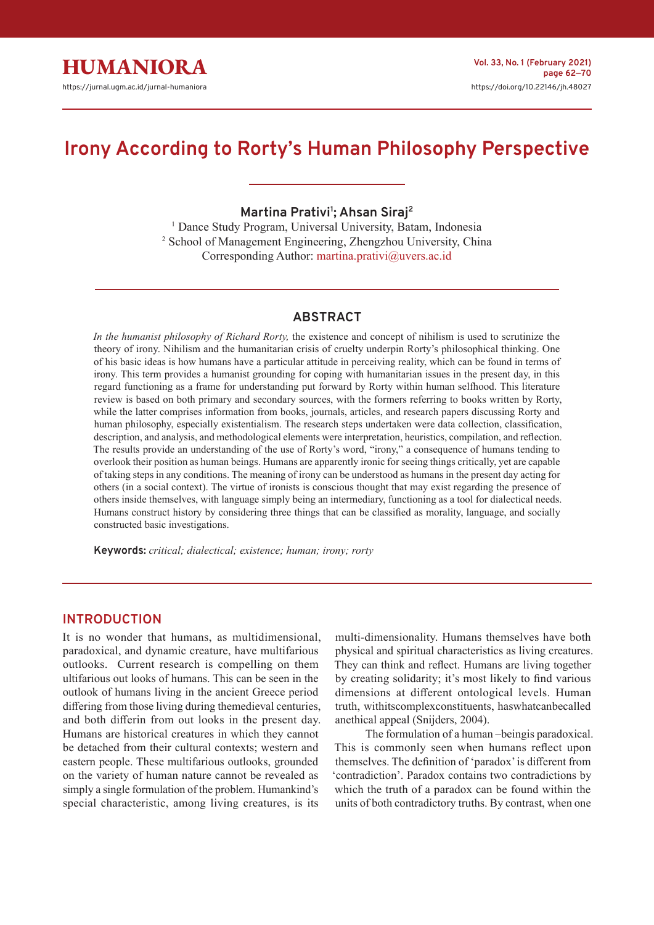# **Irony According to Rorty's Human Philosophy Perspective**

**Martina Prativi<sup>1</sup> ; Ahsan Siraj<sup>2</sup>**

<sup>1</sup> Dance Study Program, Universal University, Batam, Indonesia 2 School of Management Engineering, Zhengzhou University, China Corresponding Author: martina.prativi@uvers.ac.id

# **ABSTRACT**

*In the humanist philosophy of Richard Rorty,* the existence and concept of nihilism is used to scrutinize the theory of irony. Nihilism and the humanitarian crisis of cruelty underpin Rorty's philosophical thinking. One of his basic ideas is how humans have a particular attitude in perceiving reality, which can be found in terms of irony. This term provides a humanist grounding for coping with humanitarian issues in the present day, in this regard functioning as a frame for understanding put forward by Rorty within human selfhood. This literature review is based on both primary and secondary sources, with the formers referring to books written by Rorty, while the latter comprises information from books, journals, articles, and research papers discussing Rorty and human philosophy, especially existentialism. The research steps undertaken were data collection, classification, description, and analysis, and methodological elements were interpretation, heuristics, compilation, and reflection. The results provide an understanding of the use of Rorty's word, "irony," a consequence of humans tending to overlook their position as human beings. Humans are apparently ironic for seeing things critically, yet are capable of taking steps in any conditions. The meaning of irony can be understood as humans in the present day acting for others (in a social context). The virtue of ironists is conscious thought that may exist regarding the presence of others inside themselves, with language simply being an intermediary, functioning as a tool for dialectical needs. Humans construct history by considering three things that can be classified as morality, language, and socially constructed basic investigations.

**Keywords:** *critical; dialectical; existence; human; irony; rorty*

# **INTRODUCTION**

It is no wonder that humans, as multidimensional, paradoxical, and dynamic creature, have multifarious outlooks. Current research is compelling on them ultifarious out looks of humans. This can be seen in the outlook of humans living in the ancient Greece period differing from those living during themedieval centuries, and both differin from out looks in the present day. Humans are historical creatures in which they cannot be detached from their cultural contexts; western and eastern people. These multifarious outlooks, grounded on the variety of human nature cannot be revealed as simply a single formulation of the problem. Humankind's special characteristic, among living creatures, is its

multi-dimensionality. Humans themselves have both physical and spiritual characteristics as living creatures. They can think and reflect. Humans are living together by creating solidarity; it's most likely to find various dimensions at different ontological levels. Human truth, withitscomplexconstituents, haswhatcanbecalled anethical appeal (Snijders, 2004).

The formulation of a human –beingis paradoxical. This is commonly seen when humans reflect upon themselves. The definition of 'paradox' is different from 'contradiction'. Paradox contains two contradictions by which the truth of a paradox can be found within the units of both contradictory truths. By contrast, when one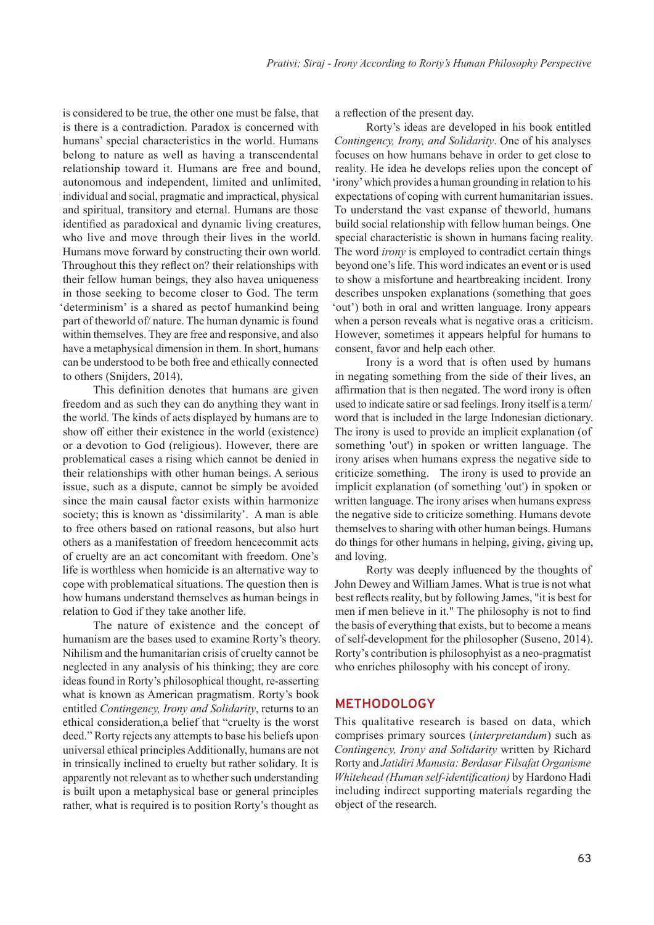is considered to be true, the other one must be false, that is there is a contradiction. Paradox is concerned with humans' special characteristics in the world. Humans belong to nature as well as having a transcendental relationship toward it. Humans are free and bound, autonomous and independent, limited and unlimited, individual and social, pragmatic and impractical, physical and spiritual, transitory and eternal. Humans are those identified as paradoxical and dynamic living creatures, who live and move through their lives in the world. Humans move forward by constructing their own world. Throughout this they reflect on? their relationships with their fellow human beings, they also havea uniqueness in those seeking to become closer to God. The term 'determinism' is a shared as pectof humankind being part of theworld of/ nature. The human dynamic is found within themselves. They are free and responsive, and also have a metaphysical dimension in them. In short, humans can be understood to be both free and ethically connected to others (Snijders, 2014).

This definition denotes that humans are given freedom and as such they can do anything they want in the world. The kinds of acts displayed by humans are to show off either their existence in the world (existence) or a devotion to God (religious). However, there are problematical cases a rising which cannot be denied in their relationships with other human beings. A serious issue, such as a dispute, cannot be simply be avoided since the main causal factor exists within harmonize society; this is known as 'dissimilarity'. A man is able to free others based on rational reasons, but also hurt others as a manifestation of freedom hencecommit acts of cruelty are an act concomitant with freedom. One's life is worthless when homicide is an alternative way to cope with problematical situations. The question then is how humans understand themselves as human beings in relation to God if they take another life.

The nature of existence and the concept of humanism are the bases used to examine Rorty's theory. Nihilism and the humanitarian crisis of cruelty cannot be neglected in any analysis of his thinking; they are core ideas found in Rorty's philosophical thought, re-asserting what is known as American pragmatism. Rorty's book entitled *Contingency, Irony and Solidarity*, returns to an ethical consideration,a belief that "cruelty is the worst deed." Rorty rejects any attempts to base his beliefs upon universal ethical principles Additionally, humans are not in trinsically inclined to cruelty but rather solidary. It is apparently not relevant as to whether such understanding is built upon a metaphysical base or general principles rather, what is required is to position Rorty's thought as

a reflection of the present day.

Rorty's ideas are developed in his book entitled *Contingency, Irony, and Solidarity*. One of his analyses focuses on how humans behave in order to get close to reality. He idea he develops relies upon the concept of 'irony' which provides a human grounding in relation to his expectations of coping with current humanitarian issues. To understand the vast expanse of theworld, humans build social relationship with fellow human beings. One special characteristic is shown in humans facing reality. The word *irony* is employed to contradict certain things beyond one's life. This word indicates an event or is used to show a misfortune and heartbreaking incident. Irony describes unspoken explanations (something that goes 'out') both in oral and written language. Irony appears when a person reveals what is negative oras a criticism. However, sometimes it appears helpful for humans to consent, favor and help each other.

Irony is a word that is often used by humans in negating something from the side of their lives, an affirmation that is then negated. The word irony is often used to indicate satire or sad feelings. Irony itself is a term/ word that is included in the large Indonesian dictionary. The irony is used to provide an implicit explanation (of something 'out') in spoken or written language. The irony arises when humans express the negative side to criticize something. The irony is used to provide an implicit explanation (of something 'out') in spoken or written language. The irony arises when humans express the negative side to criticize something. Humans devote themselves to sharing with other human beings. Humans do things for other humans in helping, giving, giving up, and loving.

Rorty was deeply influenced by the thoughts of John Dewey and William James. What is true is not what best reflects reality, but by following James, "it is best for men if men believe in it." The philosophy is not to find the basis of everything that exists, but to become a means of self-development for the philosopher (Suseno, 2014). Rorty's contribution is philosophyist as a neo-pragmatist who enriches philosophy with his concept of irony.

## **METHODOLOGY**

This qualitative research is based on data, which comprises primary sources (*interpretandum*) such as *Contingency, Irony and Solidarity* written by Richard Rorty and *Jatidiri Manusia: Berdasar Filsafat Organisme Whitehead (Human self-identification)* by Hardono Hadi including indirect supporting materials regarding the object of the research.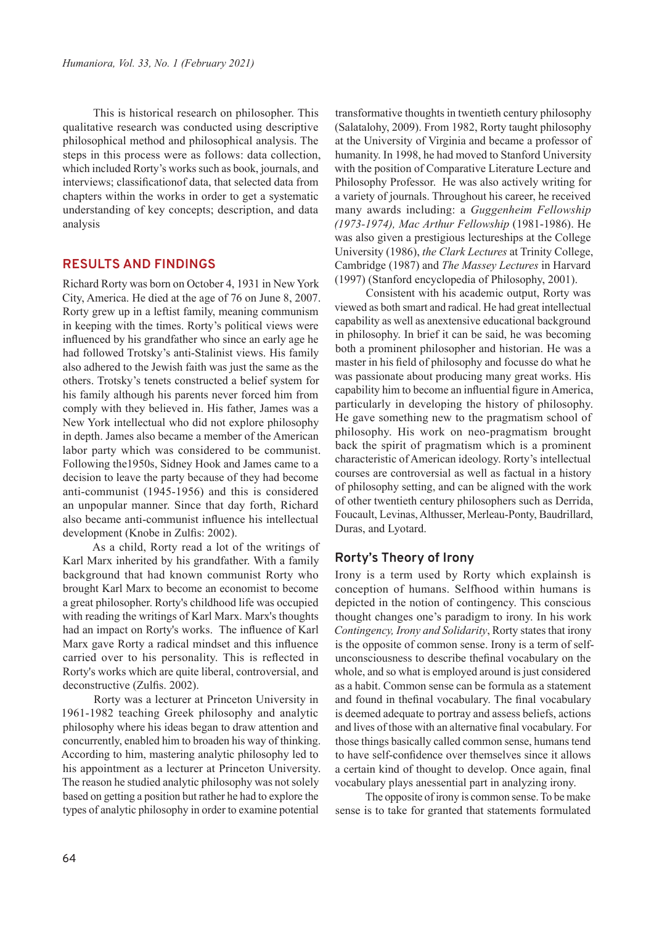This is historical research on philosopher. This qualitative research was conducted using descriptive philosophical method and philosophical analysis. The steps in this process were as follows: data collection, which included Rorty's works such as book, journals, and interviews; classificationof data, that selected data from chapters within the works in order to get a systematic understanding of key concepts; description, and data analysis

# **RESULTS AND FINDINGS**

Richard Rorty was born on October 4, 1931 in New York City, America. He died at the age of 76 on June 8, 2007. Rorty grew up in a leftist family, meaning communism in keeping with the times. Rorty's political views were influenced by his grandfather who since an early age he had followed Trotsky's anti-Stalinist views. His family also adhered to the Jewish faith was just the same as the others. Trotsky's tenets constructed a belief system for his family although his parents never forced him from comply with they believed in. His father, James was a New York intellectual who did not explore philosophy in depth. James also became a member of the American labor party which was considered to be communist. Following the1950s, Sidney Hook and James came to a decision to leave the party because of they had become anti-communist (1945-1956) and this is considered an unpopular manner. Since that day forth, Richard also became anti-communist influence his intellectual development (Knobe in Zulfis: 2002).

As a child, Rorty read a lot of the writings of Karl Marx inherited by his grandfather. With a family background that had known communist Rorty who brought Karl Marx to become an economist to become a great philosopher. Rorty's childhood life was occupied with reading the writings of Karl Marx. Marx's thoughts had an impact on Rorty's works. The influence of Karl Marx gave Rorty a radical mindset and this influence carried over to his personality. This is reflected in Rorty's works which are quite liberal, controversial, and deconstructive (Zulfis. 2002).

Rorty was a lecturer at Princeton University in 1961-1982 teaching Greek philosophy and analytic philosophy where his ideas began to draw attention and concurrently, enabled him to broaden his way of thinking. According to him, mastering analytic philosophy led to his appointment as a lecturer at Princeton University. The reason he studied analytic philosophy was not solely based on getting a position but rather he had to explore the types of analytic philosophy in order to examine potential

transformative thoughts in twentieth century philosophy (Salatalohy, 2009). From 1982, Rorty taught philosophy at the University of Virginia and became a professor of humanity. In 1998, he had moved to Stanford University with the position of Comparative Literature Lecture and Philosophy Professor. He was also actively writing for a variety of journals. Throughout his career, he received many awards including: a *Guggenheim Fellowship (1973-1974), Mac Arthur Fellowship* (1981-1986). He was also given a prestigious lectureships at the College University (1986), *the Clark Lectures* at Trinity College, Cambridge (1987) and *The Massey Lectures* in Harvard (1997) (Stanford encyclopedia of Philosophy, 2001).

Consistent with his academic output, Rorty was viewed as both smart and radical. He had great intellectual capability as well as anextensive educational background in philosophy. In brief it can be said, he was becoming both a prominent philosopher and historian. He was a master in his field of philosophy and focusse do what he was passionate about producing many great works. His capability him to become an influential figure in America, particularly in developing the history of philosophy. He gave something new to the pragmatism school of philosophy. His work on neo-pragmatism brought back the spirit of pragmatism which is a prominent characteristic of American ideology. Rorty's intellectual courses are controversial as well as factual in a history of philosophy setting, and can be aligned with the work of other twentieth century philosophers such as Derrida, Foucault, Levinas, Althusser, Merleau-Ponty, Baudrillard, Duras, and Lyotard.

## **Rorty's Theory of Irony**

Irony is a term used by Rorty which explainsh is conception of humans. Selfhood within humans is depicted in the notion of contingency. This conscious thought changes one's paradigm to irony. In his work *Contingency, Irony and Solidarity*, Rorty states that irony is the opposite of common sense. Irony is a term of selfunconsciousness to describe thefinal vocabulary on the whole, and so what is employed around is just considered as a habit. Common sense can be formula as a statement and found in thefinal vocabulary. The final vocabulary is deemed adequate to portray and assess beliefs, actions and lives of those with an alternative final vocabulary. For those things basically called common sense, humans tend to have self-confidence over themselves since it allows a certain kind of thought to develop. Once again, final vocabulary plays anessential part in analyzing irony.

The opposite of irony is common sense. To be make sense is to take for granted that statements formulated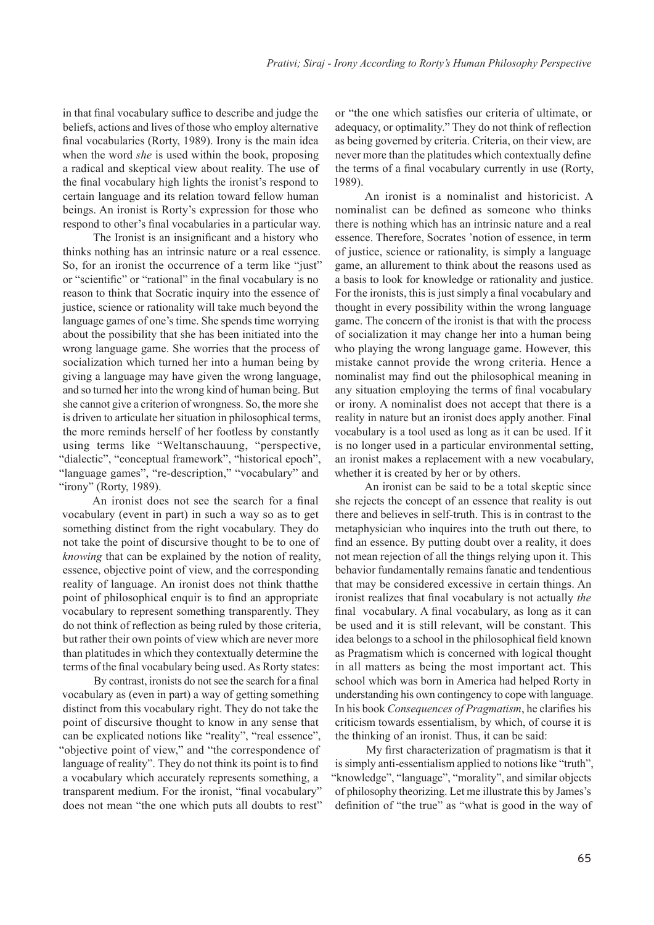in that final vocabulary suffice to describe and judge the beliefs, actions and lives of those who employ alternative final vocabularies (Rorty, 1989). Irony is the main idea when the word *she* is used within the book, proposing a radical and skeptical view about reality. The use of the final vocabulary high lights the ironist's respond to certain language and its relation toward fellow human beings. An ironist is Rorty's expression for those who respond to other's final vocabularies in a particular way.

The Ironist is an insignificant and a history who thinks nothing has an intrinsic nature or a real essence. So, for an ironist the occurrence of a term like "just" or "scientific" or "rational" in the final vocabulary is no reason to think that Socratic inquiry into the essence of justice, science or rationality will take much beyond the language games of one's time. She spends time worrying about the possibility that she has been initiated into the wrong language game. She worries that the process of socialization which turned her into a human being by giving a language may have given the wrong language, and so turned her into the wrong kind of human being. But she cannot give a criterion of wrongness. So, the more she is driven to articulate her situation in philosophical terms, the more reminds herself of her footless by constantly using terms like "Weltanschauung, "perspective, "dialectic", "conceptual framework", "historical epoch", "language games", "re-description," "vocabulary" and "irony" (Rorty, 1989).

An ironist does not see the search for a final vocabulary (event in part) in such a way so as to get something distinct from the right vocabulary. They do not take the point of discursive thought to be to one of *knowing* that can be explained by the notion of reality, essence, objective point of view, and the corresponding reality of language. An ironist does not think thatthe point of philosophical enquir is to find an appropriate vocabulary to represent something transparently. They do not think of reflection as being ruled by those criteria, but rather their own points of view which are never more than platitudes in which they contextually determine the terms of the final vocabulary being used. As Rorty states:

By contrast, ironists do not see the search for a final vocabulary as (even in part) a way of getting something distinct from this vocabulary right. They do not take the point of discursive thought to know in any sense that can be explicated notions like "reality", "real essence", "objective point of view," and "the correspondence of language of reality". They do not think its point is to find a vocabulary which accurately represents something, a transparent medium. For the ironist, "final vocabulary" does not mean "the one which puts all doubts to rest"

or "the one which satisfies our criteria of ultimate, or adequacy, or optimality." They do not think of reflection as being governed by criteria. Criteria, on their view, are never more than the platitudes which contextually define the terms of a final vocabulary currently in use (Rorty, 1989).

An ironist is a nominalist and historicist. A nominalist can be defined as someone who thinks there is nothing which has an intrinsic nature and a real essence. Therefore, Socrates 'notion of essence, in term of justice, science or rationality, is simply a language game, an allurement to think about the reasons used as a basis to look for knowledge or rationality and justice. For the ironists, this is just simply a final vocabulary and thought in every possibility within the wrong language game. The concern of the ironist is that with the process of socialization it may change her into a human being who playing the wrong language game. However, this mistake cannot provide the wrong criteria. Hence a nominalist may find out the philosophical meaning in any situation employing the terms of final vocabulary or irony. A nominalist does not accept that there is a reality in nature but an ironist does apply another. Final vocabulary is a tool used as long as it can be used. If it is no longer used in a particular environmental setting, an ironist makes a replacement with a new vocabulary, whether it is created by her or by others.

An ironist can be said to be a total skeptic since she rejects the concept of an essence that reality is out there and believes in self-truth. This is in contrast to the metaphysician who inquires into the truth out there, to find an essence. By putting doubt over a reality, it does not mean rejection of all the things relying upon it. This behavior fundamentally remains fanatic and tendentious that may be considered excessive in certain things. An ironist realizes that final vocabulary is not actually *the* final vocabulary. A final vocabulary, as long as it can be used and it is still relevant, will be constant. This idea belongs to a school in the philosophical field known as Pragmatism which is concerned with logical thought in all matters as being the most important act. This school which was born in America had helped Rorty in understanding his own contingency to cope with language. In his book *Consequences of Pragmatism*, he clarifies his criticism towards essentialism, by which, of course it is the thinking of an ironist. Thus, it can be said:

My first characterization of pragmatism is that it is simply anti-essentialism applied to notions like "truth", "knowledge", "language", "morality", and similar objects of philosophy theorizing. Let me illustrate this by James's definition of "the true" as "what is good in the way of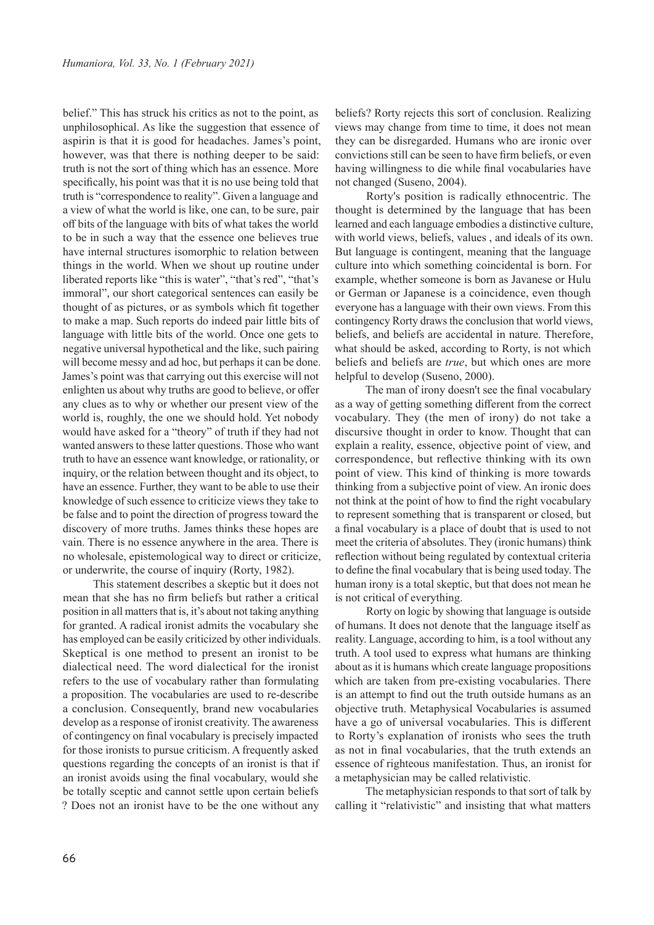belief." This has struck his critics as not to the point, as unphilosophical. As like the suggestion that essence of aspirin is that it is good for headaches. James's point, however, was that there is nothing deeper to be said: truth is not the sort of thing which has an essence. More specifically, his point was that it is no use being told that truth is "correspondence to reality". Given a language and a view of what the world is like, one can, to be sure, pair off bits of the language with bits of what takes the world to be in such a way that the essence one believes true have internal structures isomorphic to relation between things in the world. When we shout up routine under liberated reports like "this is water", "that's red", "that's immoral", our short categorical sentences can easily be thought of as pictures, or as symbols which fit together to make a map. Such reports do indeed pair little bits of language with little bits of the world. Once one gets to negative universal hypothetical and the like, such pairing will become messy and ad hoc, but perhaps it can be done. James's point was that carrying out this exercise will not enlighten us about why truths are good to believe, or offer any clues as to why or whether our present view of the world is, roughly, the one we should hold. Yet nobody would have asked for a "theory" of truth if they had not wanted answers to these latter questions. Those who want truth to have an essence want knowledge, or rationality, or inquiry, or the relation between thought and its object, to have an essence. Further, they want to be able to use their knowledge of such essence to criticize views they take to be false and to point the direction of progress toward the discovery of more truths. James thinks these hopes are vain. There is no essence anywhere in the area. There is no wholesale, epistemological way to direct or criticize, or underwrite, the course of inquiry (Rorty, 1982).

This statement describes a skeptic but it does not mean that she has no firm beliefs but rather a critical position in all matters that is, it's about not taking anything for granted. A radical ironist admits the vocabulary she has employed can be easily criticized by other individuals. Skeptical is one method to present an ironist to be dialectical need. The word dialectical for the ironist refers to the use of vocabulary rather than formulating a proposition. The vocabularies are used to re-describe a conclusion. Consequently, brand new vocabularies develop as a response of ironist creativity. The awareness of contingency on final vocabulary is precisely impacted for those ironists to pursue criticism. A frequently asked questions regarding the concepts of an ironist is that if an ironist avoids using the final vocabulary, would she be totally sceptic and cannot settle upon certain beliefs ? Does not an ironist have to be the one without any

beliefs? Rorty rejects this sort of conclusion. Realizing views may change from time to time, it does not mean they can be disregarded. Humans who are ironic over convictions still can be seen to have firm beliefs, or even having willingness to die while final vocabularies have not changed (Suseno, 2004).

Rorty's position is radically ethnocentric. The thought is determined by the language that has been learned and each language embodies a distinctive culture, with world views, beliefs, values , and ideals of its own. But language is contingent, meaning that the language culture into which something coincidental is born. For example, whether someone is born as Javanese or Hulu or German or Japanese is a coincidence, even though everyone has a language with their own views. From this contingency Rorty draws the conclusion that world views, beliefs, and beliefs are accidental in nature. Therefore, what should be asked, according to Rorty, is not which beliefs and beliefs are *true*, but which ones are more helpful to develop (Suseno, 2000).

The man of irony doesn't see the final vocabulary as a way of getting something different from the correct vocabulary. They (the men of irony) do not take a discursive thought in order to know. Thought that can explain a reality, essence, objective point of view, and correspondence, but reflective thinking with its own point of view. This kind of thinking is more towards thinking from a subjective point of view. An ironic does not think at the point of how to find the right vocabulary to represent something that is transparent or closed, but a final vocabulary is a place of doubt that is used to not meet the criteria of absolutes. They (ironic humans) think reflection without being regulated by contextual criteria to define the final vocabulary that is being used today. The human irony is a total skeptic, but that does not mean he is not critical of everything.

Rorty on logic by showing that language is outside of humans. It does not denote that the language itself as reality. Language, according to him, is a tool without any truth. A tool used to express what humans are thinking about as it is humans which create language propositions which are taken from pre-existing vocabularies. There is an attempt to find out the truth outside humans as an objective truth. Metaphysical Vocabularies is assumed have a go of universal vocabularies. This is different to Rorty's explanation of ironists who sees the truth as not in final vocabularies, that the truth extends an essence of righteous manifestation. Thus, an ironist for a metaphysician may be called relativistic.

The metaphysician responds to that sort of talk by calling it "relativistic" and insisting that what matters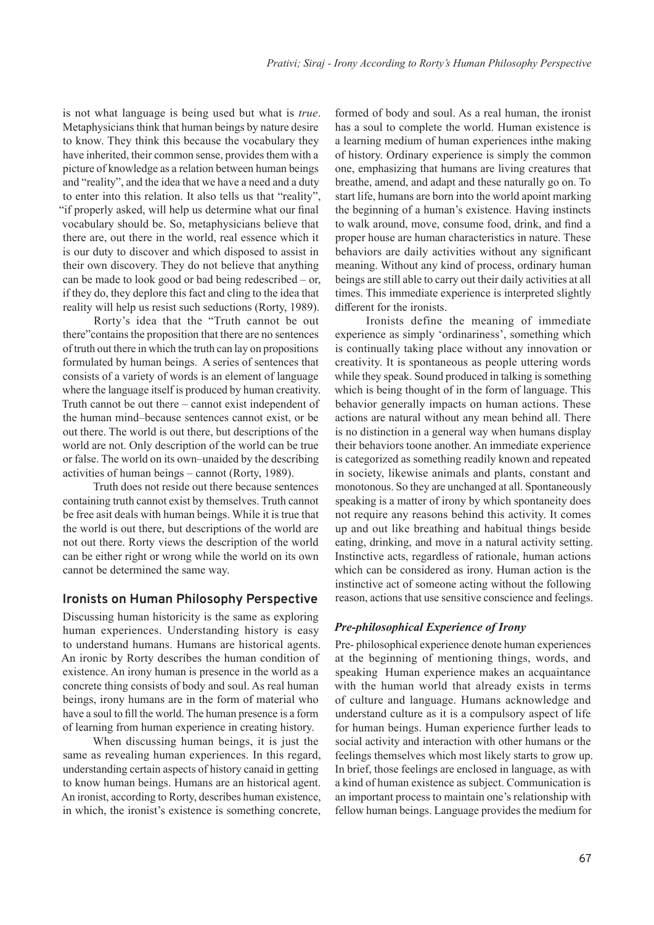is not what language is being used but what is *true*. Metaphysicians think that human beings by nature desire to know. They think this because the vocabulary they have inherited, their common sense, provides them with a picture of knowledge as a relation between human beings and "reality", and the idea that we have a need and a duty to enter into this relation. It also tells us that "reality", "if properly asked, will help us determine what our final vocabulary should be. So, metaphysicians believe that there are, out there in the world, real essence which it is our duty to discover and which disposed to assist in their own discovery. They do not believe that anything can be made to look good or bad being redescribed – or, if they do, they deplore this fact and cling to the idea that reality will help us resist such seductions (Rorty, 1989).

Rorty's idea that the "Truth cannot be out there"contains the proposition that there are no sentences of truth out there in which the truth can lay on propositions formulated by human beings. A series of sentences that consists of a variety of words is an element of language where the language itself is produced by human creativity. Truth cannot be out there – cannot exist independent of the human mind‒because sentences cannot exist, or be out there. The world is out there, but descriptions of the world are not. Only description of the world can be true or false. The world on its own–unaided by the describing activities of human beings – cannot (Rorty, 1989).

Truth does not reside out there because sentences containing truth cannot exist by themselves. Truth cannot be free asit deals with human beings. While it is true that the world is out there, but descriptions of the world are not out there. Rorty views the description of the world can be either right or wrong while the world on its own cannot be determined the same way.

#### **Ironists on Human Philosophy Perspective**

Discussing human historicity is the same as exploring human experiences. Understanding history is easy to understand humans. Humans are historical agents. An ironic by Rorty describes the human condition of existence. An irony human is presence in the world as a concrete thing consists of body and soul. As real human beings, irony humans are in the form of material who have a soul to fill the world. The human presence is a form of learning from human experience in creating history.

When discussing human beings, it is just the same as revealing human experiences. In this regard, understanding certain aspects of history canaid in getting to know human beings. Humans are an historical agent. An ironist, according to Rorty, describes human existence, in which, the ironist's existence is something concrete, formed of body and soul. As a real human, the ironist has a soul to complete the world. Human existence is a learning medium of human experiences inthe making of history. Ordinary experience is simply the common one, emphasizing that humans are living creatures that breathe, amend, and adapt and these naturally go on. To start life, humans are born into the world apoint marking the beginning of a human's existence. Having instincts to walk around, move, consume food, drink, and find a proper house are human characteristics in nature. These behaviors are daily activities without any significant meaning. Without any kind of process, ordinary human beings are still able to carry out their daily activities at all times. This immediate experience is interpreted slightly different for the ironists.

Ironists define the meaning of immediate experience as simply 'ordinariness', something which is continually taking place without any innovation or creativity. It is spontaneous as people uttering words while they speak. Sound produced in talking is something which is being thought of in the form of language. This behavior generally impacts on human actions. These actions are natural without any mean behind all. There is no distinction in a general way when humans display their behaviors toone another. An immediate experience is categorized as something readily known and repeated in society, likewise animals and plants, constant and monotonous. So they are unchanged at all. Spontaneously speaking is a matter of irony by which spontaneity does not require any reasons behind this activity. It comes up and out like breathing and habitual things beside eating, drinking, and move in a natural activity setting. Instinctive acts, regardless of rationale, human actions which can be considered as irony. Human action is the instinctive act of someone acting without the following reason, actions that use sensitive conscience and feelings.

#### *Pre-philosophical Experience of Irony*

Pre- philosophical experience denote human experiences at the beginning of mentioning things, words, and speaking Human experience makes an acquaintance with the human world that already exists in terms of culture and language. Humans acknowledge and understand culture as it is a compulsory aspect of life for human beings. Human experience further leads to social activity and interaction with other humans or the feelings themselves which most likely starts to grow up. In brief, those feelings are enclosed in language, as with a kind of human existence as subject. Communication is an important process to maintain one's relationship with fellow human beings. Language provides the medium for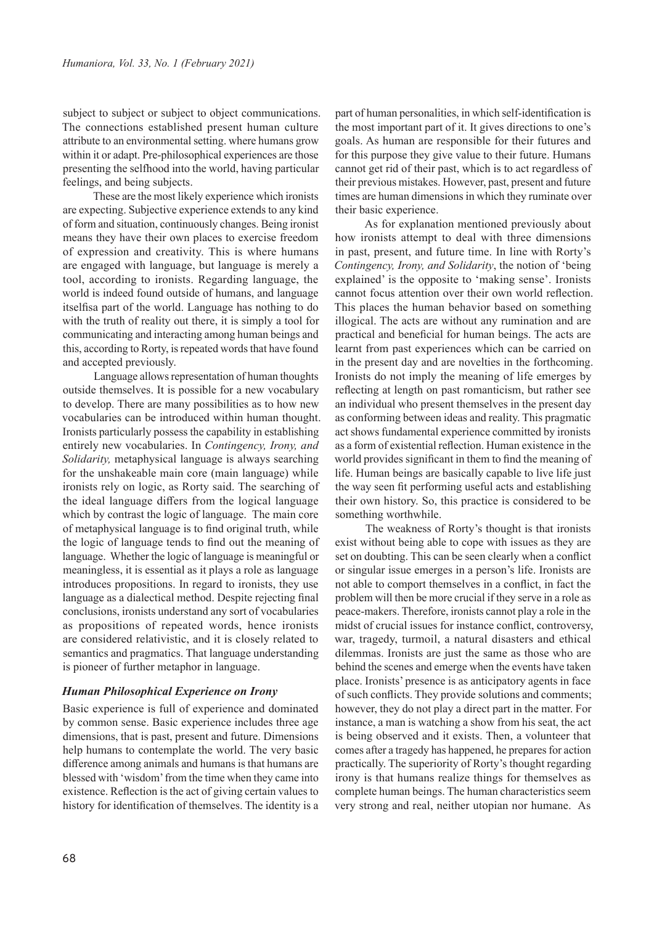subject to subject or subject to object communications. The connections established present human culture attribute to an environmental setting. where humans grow within it or adapt. Pre-philosophical experiences are those presenting the selfhood into the world, having particular feelings, and being subjects.

These are the most likely experience which ironists are expecting. Subjective experience extends to any kind of form and situation, continuously changes. Being ironist means they have their own places to exercise freedom of expression and creativity. This is where humans are engaged with language, but language is merely a tool, according to ironists. Regarding language, the world is indeed found outside of humans, and language itselfisa part of the world. Language has nothing to do with the truth of reality out there, it is simply a tool for communicating and interacting among human beings and this, according to Rorty, is repeated words that have found and accepted previously.

Language allows representation of human thoughts outside themselves. It is possible for a new vocabulary to develop. There are many possibilities as to how new vocabularies can be introduced within human thought. Ironists particularly possess the capability in establishing entirely new vocabularies. In *Contingency, Irony, and Solidarity,* metaphysical language is always searching for the unshakeable main core (main language) while ironists rely on logic, as Rorty said. The searching of the ideal language differs from the logical language which by contrast the logic of language. The main core of metaphysical language is to find original truth, while the logic of language tends to find out the meaning of language. Whether the logic of language is meaningful or meaningless, it is essential as it plays a role as language introduces propositions. In regard to ironists, they use language as a dialectical method. Despite rejecting final conclusions, ironists understand any sort of vocabularies as propositions of repeated words, hence ironists are considered relativistic, and it is closely related to semantics and pragmatics. That language understanding is pioneer of further metaphor in language.

#### *Human Philosophical Experience on Irony*

Basic experience is full of experience and dominated by common sense. Basic experience includes three age dimensions, that is past, present and future. Dimensions help humans to contemplate the world. The very basic difference among animals and humans is that humans are blessed with 'wisdom' from the time when they came into existence. Reflection is the act of giving certain values to history for identification of themselves. The identity is a part of human personalities, in which self-identification is the most important part of it. It gives directions to one's goals. As human are responsible for their futures and for this purpose they give value to their future. Humans cannot get rid of their past, which is to act regardless of their previous mistakes. However, past, present and future times are human dimensions in which they ruminate over their basic experience.

As for explanation mentioned previously about how ironists attempt to deal with three dimensions in past, present, and future time. In line with Rorty's *Contingency, Irony, and Solidarity*, the notion of 'being explained' is the opposite to 'making sense'. Ironists cannot focus attention over their own world reflection. This places the human behavior based on something illogical. The acts are without any rumination and are practical and beneficial for human beings. The acts are learnt from past experiences which can be carried on in the present day and are novelties in the forthcoming. Ironists do not imply the meaning of life emerges by reflecting at length on past romanticism, but rather see an individual who present themselves in the present day as conforming between ideas and reality. This pragmatic act shows fundamental experience committed by ironists as a form of existential reflection. Human existence in the world provides significant in them to find the meaning of life. Human beings are basically capable to live life just the way seen fit performing useful acts and establishing their own history. So, this practice is considered to be something worthwhile.

The weakness of Rorty's thought is that ironists exist without being able to cope with issues as they are set on doubting. This can be seen clearly when a conflict or singular issue emerges in a person's life. Ironists are not able to comport themselves in a conflict, in fact the problem will then be more crucial if they serve in a role as peace-makers. Therefore, ironists cannot play a role in the midst of crucial issues for instance conflict, controversy, war, tragedy, turmoil, a natural disasters and ethical dilemmas. Ironists are just the same as those who are behind the scenes and emerge when the events have taken place. Ironists' presence is as anticipatory agents in face of such conflicts. They provide solutions and comments; however, they do not play a direct part in the matter. For instance, a man is watching a show from his seat, the act is being observed and it exists. Then, a volunteer that comes after a tragedy has happened, he prepares for action practically. The superiority of Rorty's thought regarding irony is that humans realize things for themselves as complete human beings. The human characteristics seem very strong and real, neither utopian nor humane. As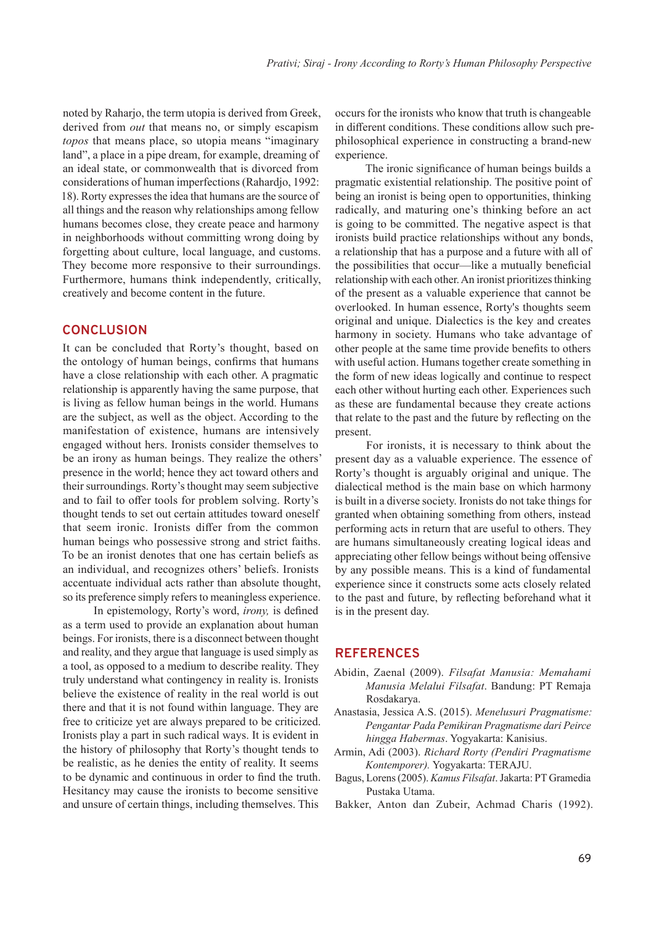noted by Raharjo, the term utopia is derived from Greek, derived from *out* that means no, or simply escapism *topos* that means place, so utopia means "imaginary land", a place in a pipe dream, for example, dreaming of an ideal state, or commonwealth that is divorced from considerations of human imperfections (Rahardjo, 1992: 18). Rorty expresses the idea that humans are the source of all things and the reason why relationships among fellow humans becomes close, they create peace and harmony in neighborhoods without committing wrong doing by forgetting about culture, local language, and customs. They become more responsive to their surroundings. Furthermore, humans think independently, critically, creatively and become content in the future.

## **CONCLUSION**

It can be concluded that Rorty's thought, based on the ontology of human beings, confirms that humans have a close relationship with each other. A pragmatic relationship is apparently having the same purpose, that is living as fellow human beings in the world. Humans are the subject, as well as the object. According to the manifestation of existence, humans are intensively engaged without hers. Ironists consider themselves to be an irony as human beings. They realize the others' presence in the world; hence they act toward others and their surroundings. Rorty's thought may seem subjective and to fail to offer tools for problem solving. Rorty's thought tends to set out certain attitudes toward oneself that seem ironic. Ironists differ from the common human beings who possessive strong and strict faiths. To be an ironist denotes that one has certain beliefs as an individual, and recognizes others' beliefs. Ironists accentuate individual acts rather than absolute thought, so its preference simply refers to meaningless experience.

In epistemology, Rorty's word, *irony,* is defined as a term used to provide an explanation about human beings. For ironists, there is a disconnect between thought and reality, and they argue that language is used simply as a tool, as opposed to a medium to describe reality. They truly understand what contingency in reality is. Ironists believe the existence of reality in the real world is out there and that it is not found within language. They are free to criticize yet are always prepared to be criticized. Ironists play a part in such radical ways. It is evident in the history of philosophy that Rorty's thought tends to be realistic, as he denies the entity of reality. It seems to be dynamic and continuous in order to find the truth. Hesitancy may cause the ironists to become sensitive and unsure of certain things, including themselves. This

occurs for the ironists who know that truth is changeable in different conditions. These conditions allow such prephilosophical experience in constructing a brand-new experience.

The ironic significance of human beings builds a pragmatic existential relationship. The positive point of being an ironist is being open to opportunities, thinking radically, and maturing one's thinking before an act is going to be committed. The negative aspect is that ironists build practice relationships without any bonds, a relationship that has a purpose and a future with all of the possibilities that occur—like a mutually beneficial relationship with each other. An ironist prioritizes thinking of the present as a valuable experience that cannot be overlooked. In human essence, Rorty's thoughts seem original and unique. Dialectics is the key and creates harmony in society. Humans who take advantage of other people at the same time provide benefits to others with useful action. Humans together create something in the form of new ideas logically and continue to respect each other without hurting each other. Experiences such as these are fundamental because they create actions that relate to the past and the future by reflecting on the present.

For ironists, it is necessary to think about the present day as a valuable experience. The essence of Rorty's thought is arguably original and unique. The dialectical method is the main base on which harmony is built in a diverse society. Ironists do not take things for granted when obtaining something from others, instead performing acts in return that are useful to others. They are humans simultaneously creating logical ideas and appreciating other fellow beings without being offensive by any possible means. This is a kind of fundamental experience since it constructs some acts closely related to the past and future, by reflecting beforehand what it is in the present day.

# **REFERENCES**

- Abidin, Zaenal (2009). *Filsafat Manusia: Memahami Manusia Melalui Filsafat*. Bandung: PT Remaja Rosdakarya.
- Anastasia, Jessica A.S. (2015). *Menelusuri Pragmatisme: Pengantar Pada Pemikiran Pragmatisme dari Peirce hingga Habermas*. Yogyakarta: Kanisius.
- Armin, Adi (2003). *Richard Rorty (Pendiri Pragmatisme Kontemporer).* Yogyakarta: TERAJU.
- Bagus, Lorens (2005). *Kamus Filsafat*. Jakarta: PT Gramedia Pustaka Utama.
- Bakker, Anton dan Zubeir, Achmad Charis (1992).